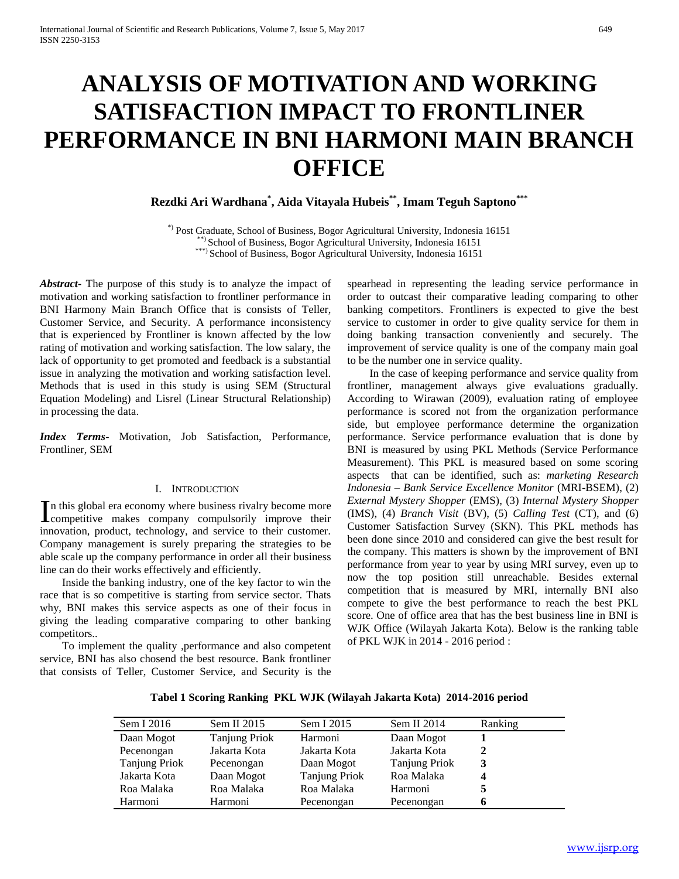# **ANALYSIS OF MOTIVATION AND WORKING SATISFACTION IMPACT TO FRONTLINER PERFORMANCE IN BNI HARMONI MAIN BRANCH OFFICE**

# **Rezdki Ari Wardhana\* , Aida Vitayala Hubeis\*\*, Imam Teguh Saptono\*\*\***

\*) Post Graduate, School of Business, Bogor Agricultural University, Indonesia 16151 \*\*) School of Business, Bogor Agricultural University, Indonesia 16151 \*\*\*) School of Business, Bogor Agricultural University, Indonesia 16151

*Abstract***-** The purpose of this study is to analyze the impact of motivation and working satisfaction to frontliner performance in BNI Harmony Main Branch Office that is consists of Teller, Customer Service, and Security. A performance inconsistency that is experienced by Frontliner is known affected by the low rating of motivation and working satisfaction. The low salary, the lack of opportunity to get promoted and feedback is a substantial issue in analyzing the motivation and working satisfaction level. Methods that is used in this study is using SEM (Structural Equation Modeling) and Lisrel (Linear Structural Relationship) in processing the data.

*Index Terms*- Motivation, Job Satisfaction, Performance, Frontliner, SEM

#### I. INTRODUCTION

n this global era economy where business rivalry become more In this global era economy where business rivalry become more competitive makes company compulsorily improve their innovation, product, technology, and service to their customer. Company management is surely preparing the strategies to be able scale up the company performance in order all their business line can do their works effectively and efficiently.

 Inside the banking industry, one of the key factor to win the race that is so competitive is starting from service sector. Thats why, BNI makes this service aspects as one of their focus in giving the leading comparative comparing to other banking competitors..

 To implement the quality ,performance and also competent service, BNI has also chosend the best resource. Bank frontliner that consists of Teller, Customer Service, and Security is the spearhead in representing the leading service performance in order to outcast their comparative leading comparing to other banking competitors. Frontliners is expected to give the best service to customer in order to give quality service for them in doing banking transaction conveniently and securely. The improvement of service quality is one of the company main goal to be the number one in service quality.

 In the case of keeping performance and service quality from frontliner, management always give evaluations gradually. According to Wirawan (2009), evaluation rating of employee performance is scored not from the organization performance side, but employee performance determine the organization performance. Service performance evaluation that is done by BNI is measured by using PKL Methods (Service Performance Measurement). This PKL is measured based on some scoring aspects that can be identified, such as: *marketing Research Indonesia – Bank Service Excellence Monitor* (MRI-BSEM), (2) *External Mystery Shopper* (EMS), (3) *Internal Mystery Shopper* (IMS), (4) *Branch Visit* (BV), (5) *Calling Test* (CT), and (6) Customer Satisfaction Survey (SKN). This PKL methods has been done since 2010 and considered can give the best result for the company. This matters is shown by the improvement of BNI performance from year to year by using MRI survey, even up to now the top position still unreachable. Besides external competition that is measured by MRI, internally BNI also compete to give the best performance to reach the best PKL score. One of office area that has the best business line in BNI is WJK Office (Wilayah Jakarta Kota). Below is the ranking table of PKL WJK in 2014 - 2016 period :

| Sem I 2016           | Sem II 2015   | Sem I 2015           | Sem II 2014          | Ranking |
|----------------------|---------------|----------------------|----------------------|---------|
| Daan Mogot           | Tanjung Priok | Harmoni              | Daan Mogot           |         |
| Pecenongan           | Jakarta Kota  | Jakarta Kota         | Jakarta Kota         | 2       |
| <b>Tanjung Priok</b> | Pecenongan    | Daan Mogot           | <b>Tanjung Priok</b> | 3       |
| Jakarta Kota         | Daan Mogot    | <b>Tanjung Priok</b> | Roa Malaka           |         |
| Roa Malaka           | Roa Malaka    | Roa Malaka           | Harmoni              |         |
| Harmoni              | Harmoni       | Pecenongan           | Pecenongan           |         |

**Tabel 1 Scoring Ranking PKL WJK (Wilayah Jakarta Kota) 2014-2016 period**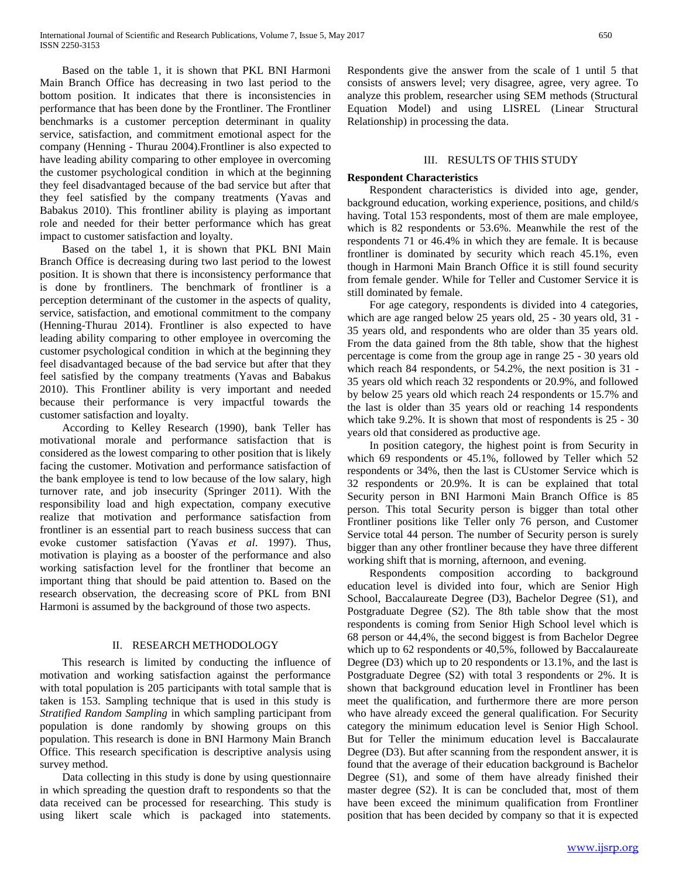Based on the table 1, it is shown that PKL BNI Harmoni Main Branch Office has decreasing in two last period to the bottom position. It indicates that there is inconsistencies in performance that has been done by the Frontliner. The Frontliner benchmarks is a customer perception determinant in quality service, satisfaction, and commitment emotional aspect for the company (Henning - Thurau 2004).Frontliner is also expected to have leading ability comparing to other employee in overcoming the customer psychological condition in which at the beginning they feel disadvantaged because of the bad service but after that they feel satisfied by the company treatments (Yavas and Babakus 2010). This frontliner ability is playing as important role and needed for their better performance which has great impact to customer satisfaction and loyalty.

 Based on the tabel 1, it is shown that PKL BNI Main Branch Office is decreasing during two last period to the lowest position. It is shown that there is inconsistency performance that is done by frontliners. The benchmark of frontliner is a perception determinant of the customer in the aspects of quality, service, satisfaction, and emotional commitment to the company (Henning-Thurau 2014). Frontliner is also expected to have leading ability comparing to other employee in overcoming the customer psychological condition in which at the beginning they feel disadvantaged because of the bad service but after that they feel satisfied by the company treatments (Yavas and Babakus 2010). This Frontliner ability is very important and needed because their performance is very impactful towards the customer satisfaction and loyalty.

 According to Kelley Research (1990), bank Teller has motivational morale and performance satisfaction that is considered as the lowest comparing to other position that is likely facing the customer. Motivation and performance satisfaction of the bank employee is tend to low because of the low salary, high turnover rate, and job insecurity (Springer 2011). With the responsibility load and high expectation, company executive realize that motivation and performance satisfaction from frontliner is an essential part to reach business success that can evoke customer satisfaction (Yavas *et al*. 1997). Thus, motivation is playing as a booster of the performance and also working satisfaction level for the frontliner that become an important thing that should be paid attention to. Based on the research observation, the decreasing score of PKL from BNI Harmoni is assumed by the background of those two aspects.

#### II. RESEARCH METHODOLOGY

 This research is limited by conducting the influence of motivation and working satisfaction against the performance with total population is 205 participants with total sample that is taken is 153. Sampling technique that is used in this study is *Stratified Random Sampling* in which sampling participant from population is done randomly by showing groups on this population. This research is done in BNI Harmony Main Branch Office. This research specification is descriptive analysis using survey method.

 Data collecting in this study is done by using questionnaire in which spreading the question draft to respondents so that the data received can be processed for researching. This study is using likert scale which is packaged into statements.

Respondents give the answer from the scale of 1 until 5 that consists of answers level; very disagree, agree, very agree. To analyze this problem, researcher using SEM methods (Structural Equation Model) and using LISREL (Linear Structural Relationship) in processing the data.

## III. RESULTS OF THIS STUDY

## **Respondent Characteristics**

 Respondent characteristics is divided into age, gender, background education, working experience, positions, and child/s having. Total 153 respondents, most of them are male employee, which is 82 respondents or 53.6%. Meanwhile the rest of the respondents 71 or 46.4% in which they are female. It is because frontliner is dominated by security which reach 45.1%, even though in Harmoni Main Branch Office it is still found security from female gender. While for Teller and Customer Service it is still dominated by female.

 For age category, respondents is divided into 4 categories, which are age ranged below 25 years old, 25 - 30 years old, 31 - 35 years old, and respondents who are older than 35 years old. From the data gained from the 8th table, show that the highest percentage is come from the group age in range 25 - 30 years old which reach 84 respondents, or 54.2%, the next position is 31 -35 years old which reach 32 respondents or 20.9%, and followed by below 25 years old which reach 24 respondents or 15.7% and the last is older than 35 years old or reaching 14 respondents which take 9.2%. It is shown that most of respondents is 25 - 30 years old that considered as productive age.

 In position category, the highest point is from Security in which 69 respondents or 45.1%, followed by Teller which 52 respondents or 34%, then the last is CUstomer Service which is 32 respondents or 20.9%. It is can be explained that total Security person in BNI Harmoni Main Branch Office is 85 person. This total Security person is bigger than total other Frontliner positions like Teller only 76 person, and Customer Service total 44 person. The number of Security person is surely bigger than any other frontliner because they have three different working shift that is morning, afternoon, and evening.

 Respondents composition according to background education level is divided into four, which are Senior High School, Baccalaureate Degree (D3), Bachelor Degree (S1), and Postgraduate Degree (S2). The 8th table show that the most respondents is coming from Senior High School level which is 68 person or 44,4%, the second biggest is from Bachelor Degree which up to 62 respondents or 40,5%, followed by Baccalaureate Degree (D3) which up to 20 respondents or 13.1%, and the last is Postgraduate Degree (S2) with total 3 respondents or 2%. It is shown that background education level in Frontliner has been meet the qualification, and furthermore there are more person who have already exceed the general qualification. For Security category the minimum education level is Senior High School. But for Teller the minimum education level is Baccalaurate Degree (D3). But after scanning from the respondent answer, it is found that the average of their education background is Bachelor Degree (S1), and some of them have already finished their master degree (S2). It is can be concluded that, most of them have been exceed the minimum qualification from Frontliner position that has been decided by company so that it is expected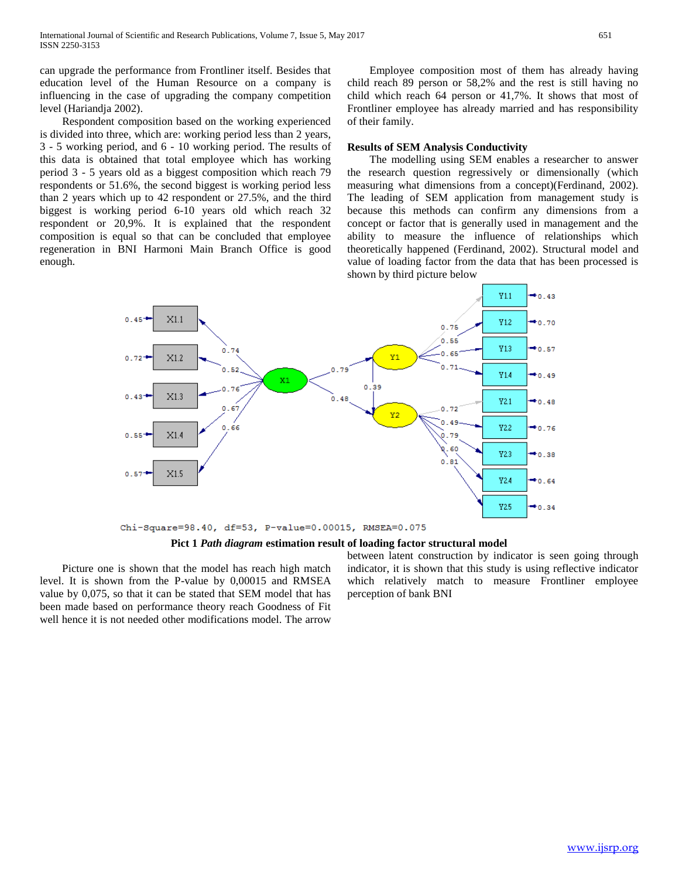can upgrade the performance from Frontliner itself. Besides that education level of the Human Resource on a company is influencing in the case of upgrading the company competition level (Hariandja 2002).

 Respondent composition based on the working experienced is divided into three, which are: working period less than 2 years, 3 - 5 working period, and 6 - 10 working period. The results of this data is obtained that total employee which has working period 3 - 5 years old as a biggest composition which reach 79 respondents or 51.6%, the second biggest is working period less than 2 years which up to 42 respondent or 27.5%, and the third biggest is working period 6-10 years old which reach 32 respondent or 20,9%. It is explained that the respondent composition is equal so that can be concluded that employee regeneration in BNI Harmoni Main Branch Office is good enough.

 Employee composition most of them has already having child reach 89 person or 58,2% and the rest is still having no child which reach 64 person or 41,7%. It shows that most of Frontliner employee has already married and has responsibility of their family.

#### **Results of SEM Analysis Conductivity**

 The modelling using SEM enables a researcher to answer the research question regressively or dimensionally (which measuring what dimensions from a concept)(Ferdinand, 2002). The leading of SEM application from management study is because this methods can confirm any dimensions from a concept or factor that is generally used in management and the ability to measure the influence of relationships which theoretically happened (Ferdinand, 2002). Structural model and value of loading factor from the data that has been processed is shown by third picture below



**Pict 1** *Path diagram* **estimation result of loading factor structural model**

 Picture one is shown that the model has reach high match level. It is shown from the P-value by 0,00015 and RMSEA value by 0,075, so that it can be stated that SEM model that has been made based on performance theory reach Goodness of Fit well hence it is not needed other modifications model. The arrow

between latent construction by indicator is seen going through indicator, it is shown that this study is using reflective indicator which relatively match to measure Frontliner employee perception of bank BNI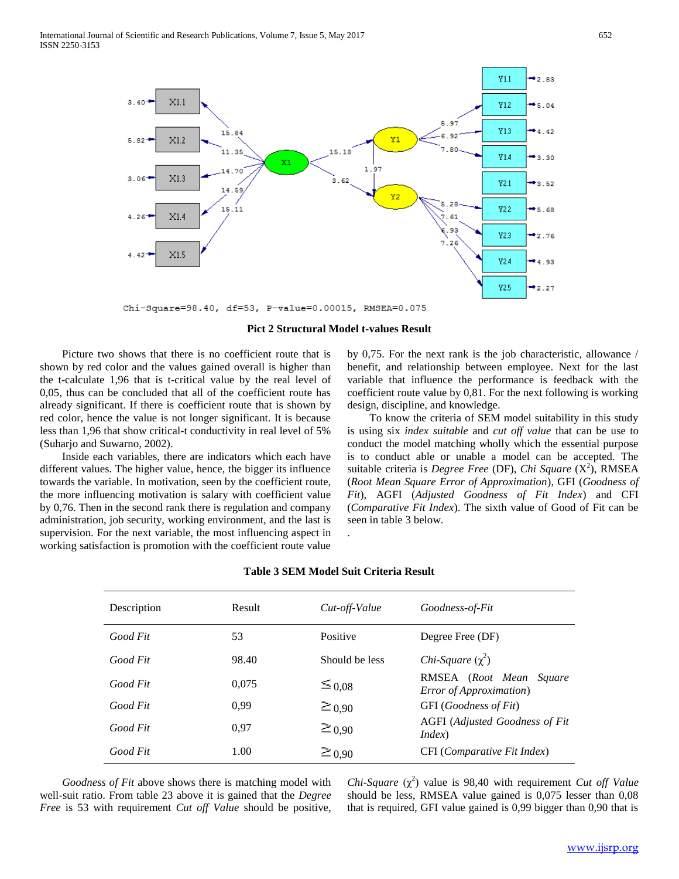

Chi-Square=98.40, df=53, P-value=0.00015, RMSEA=0.075

#### **Pict 2 Structural Model t-values Result**

 Picture two shows that there is no coefficient route that is shown by red color and the values gained overall is higher than the t-calculate 1,96 that is t-critical value by the real level of 0,05, thus can be concluded that all of the coefficient route has already significant. If there is coefficient route that is shown by red color, hence the value is not longer significant. It is because less than 1,96 that show critical-t conductivity in real level of 5% (Suharjo and Suwarno, 2002).

 Inside each variables, there are indicators which each have different values. The higher value, hence, the bigger its influence towards the variable. In motivation, seen by the coefficient route, the more influencing motivation is salary with coefficient value by 0,76. Then in the second rank there is regulation and company administration, job security, working environment, and the last is supervision. For the next variable, the most influencing aspect in working satisfaction is promotion with the coefficient route value by 0,75. For the next rank is the job characteristic, allowance / benefit, and relationship between employee. Next for the last variable that influence the performance is feedback with the coefficient route value by 0,81. For the next following is working design, discipline, and knowledge.

 To know the criteria of SEM model suitability in this study is using six *index suitable* and *cut off value* that can be use to conduct the model matching wholly which the essential purpose is to conduct able or unable a model can be accepted. The suitable criteria is *Degree Free* (DF), *Chi Square* (X<sup>2</sup>), RMSEA (*Root Mean Square Error of Approximation*), GFI (*Goodness of Fit*), AGFI (*Adjusted Goodness of Fit Index*) and CFI (*Comparative Fit Index*). The sixth value of Good of Fit can be seen in table 3 below. .

| Description | Result | Cut-off-Value  | Goodness-of-Fit                                           |
|-------------|--------|----------------|-----------------------------------------------------------|
| Good Fit    | 53     | Positive       | Degree Free (DF)                                          |
| Good Fit    | 98.40  | Should be less | Chi-Square $(\chi^2)$                                     |
| Good Fit    | 0.075  | $\leq 0.08$    | RMSEA (Root Mean Square<br><b>Error</b> of Approximation) |
| Good Fit    | 0.99   | $\geq 0.90$    | GFI (Goodness of Fit)                                     |
| Good Fit    | 0.97   | $\geq 0.90$    | AGFI (Adjusted Goodness of Fit<br>Index)                  |
| Good Fit    | 1.00   | $\geq 0.90$    | CFI (Comparative Fit Index)                               |

#### **Table 3 SEM Model Suit Criteria Result**

 *Goodness of Fit* above shows there is matching model with well-suit ratio. From table 23 above it is gained that the *Degree Free* is 53 with requirement *Cut off Value* should be positive,

*Chi-Square*  $(\chi^2)$  value is 98,40 with requirement *Cut off Value* should be less, RMSEA value gained is 0,075 lesser than 0,08 that is required, GFI value gained is 0,99 bigger than 0,90 that is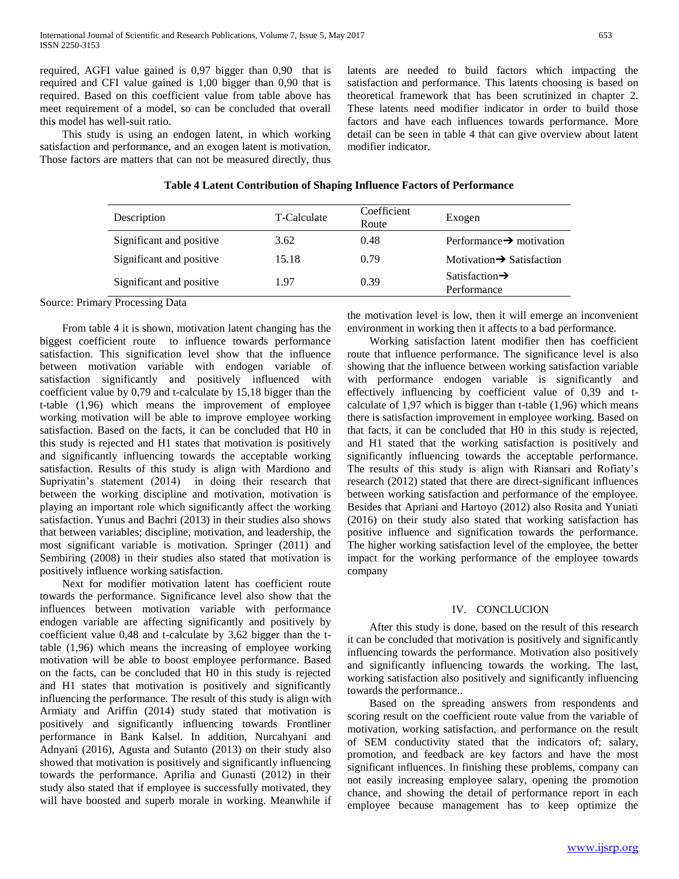required, AGFI value gained is 0,97 bigger than 0,90 that is required and CFI value gained is 1,00 bigger than 0,90 that is required. Based on this coefficient value from table above has meet requirement of a model, so can be concluded that overall this model has well-suit ratio.

 This study is using an endogen latent, in which working satisfaction and performance, and an exogen latent is motivation. Those factors are matters that can not be measured directly, thus latents are needed to build factors which impacting the satisfaction and performance. This latents choosing is based on theoretical framework that has been scrutinized in chapter 2. These latents need modifier indicator in order to build those factors and have each influences towards performance. More detail can be seen in table 4 that can give overview about latent modifier indicator.

#### **Table 4 Latent Contribution of Shaping Influence Factors of Performance**

| Description              | T-Calculate | Coefficient<br>Route | Exogen                                    |
|--------------------------|-------------|----------------------|-------------------------------------------|
| Significant and positive | 3.62        | 0.48                 | Performance $\rightarrow$ motivation      |
| Significant and positive | 15.18       | 0.79                 | Motivation $\rightarrow$ Satisfaction     |
| Significant and positive | 1.97        | 0.39                 | Satisfaction $\rightarrow$<br>Performance |

Source: Primary Processing Data

 From table 4 it is shown, motivation latent changing has the biggest coefficient route to influence towards performance satisfaction. This signification level show that the influence between motivation variable with endogen variable of satisfaction significantly and positively influenced with coefficient value by 0,79 and t-calculate by 15,18 bigger than the t-table (1,96) which means the improvement of employee working motivation will be able to improve employee working satisfaction. Based on the facts, it can be concluded that H0 in this study is rejected and H1 states that motivation is positively and significantly influencing towards the acceptable working satisfaction. Results of this study is align with Mardiono and Supriyatin's statement (2014) in doing their research that between the working discipline and motivation, motivation is playing an important role which significantly affect the working satisfaction. Yunus and Bachri (2013) in their studies also shows that between variables; discipline, motivation, and leadership, the most significant variable is motivation. Springer (2011) and Sembiring (2008) in their studies also stated that motivation is positively influence working satisfaction.

 Next for modifier motivation latent has coefficient route towards the performance. Significance level also show that the influences between motivation variable with performance endogen variable are affecting significantly and positively by coefficient value 0,48 and t-calculate by 3,62 bigger than the ttable (1,96) which means the increasing of employee working motivation will be able to boost employee performance. Based on the facts, can be concluded that H0 in this study is rejected and H1 states that motivation is positively and significantly influencing the performance. The result of this study is align with Armiaty and Ariffin (2014) study stated that motivation is positively and significantly influencing towards Frontliner performance in Bank Kalsel. In addition, Nurcahyani and Adnyani (2016), Agusta and Sutanto (2013) on their study also showed that motivation is positively and significantly influencing towards the performance. Aprilia and Gunasti (2012) in their study also stated that if employee is successfully motivated, they will have boosted and superb morale in working. Meanwhile if the motivation level is low, then it will emerge an inconvenient environment in working then it affects to a bad performance.

 Working satisfaction latent modifier then has coefficient route that influence performance. The significance level is also showing that the influence between working satisfaction variable with performance endogen variable is significantly and effectively influencing by coefficient value of 0,39 and tcalculate of 1,97 which is bigger than t-table (1,96) which means there is satisfaction improvement in employee working. Based on that facts, it can be concluded that H0 in this study is rejected, and H1 stated that the working satisfaction is positively and significantly influencing towards the acceptable performance. The results of this study is align with Riansari and Rofiaty's research (2012) stated that there are direct-significant influences between working satisfaction and performance of the employee. Besides that Apriani and Hartoyo (2012) also Rosita and Yuniati (2016) on their study also stated that working satisfaction has positive influence and signification towards the performance. The higher working satisfaction level of the employee, the better impact for the working performance of the employee towards company

#### IV. CONCLUCION

 After this study is done, based on the result of this research it can be concluded that motivation is positively and significantly influencing towards the performance. Motivation also positively and significantly influencing towards the working. The last, working satisfaction also positively and significantly influencing towards the performance..

 Based on the spreading answers from respondents and scoring result on the coefficient route value from the variable of motivation, working satisfaction, and performance on the result of SEM conductivity stated that the indicators of; salary, promotion, and feedback are key factors and have the most significant influences. In finishing these problems, company can not easily increasing employee salary, opening the promotion chance, and showing the detail of performance report in each employee because management has to keep optimize the